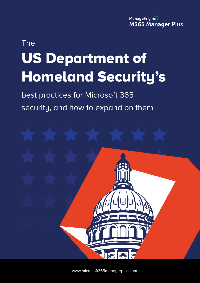ManageEngine **M365 Manager Plus** 

# The US Department of Homeland Security's

best practices for Microsoft 365 security, and how to expand on them



[www.microsoft365managerplus.com](https://www.manageengine.com/microsoft-365-management-reporting/index.html?utm_source=pdf&utm_content=mmp-dhs-ebook)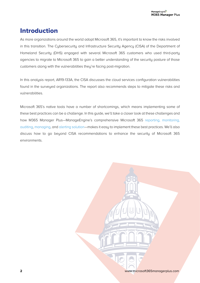## Introduction

As more organizations around the world adopt Microsoft 365, it's important to know the risks involved in this transition. The Cybersecurity and Infrastructure Security Agency (CISA) of the Department of Homeland Security (DHS) engaged with several Microsoft 365 customers who used third-party agencies to migrate to Microsoft 365 to gain a better understanding of the security posture of those customers along with the vulnerabilities they're facing post-migration.

In this analysis report, AR19-133A, the CISA discusses the cloud services configuration vulnerabilities found in the surveyed organizations. The report also recommends steps to mitigate these risks and vulnerabilities.

Microsoft 365's native tools have a number of shortcomings, which means implementing some of these best practices can be a challenge. In this guide, we'll take a closer look at these challenges and how M365 Manager Plus—ManageEngine's comprehensive Microsoft 365 [reporting,](https://www.manageengine.com/microsoft-365-management-reporting/microsoft-365-reporting-tool.html?utm_source=pdf&utm_content=mmp-dhs-ebook) monitoring, [auditing,](https://www.manageengine.com/microsoft-365-management-reporting/microsoft-365-auditing-tool.html?utm_source=pdf&utm_content=mmp-dhs-ebook) [managing,](https://www.manageengine.com/microsoft-365-management-reporting/microsoft-365-management-tool.html?utm_source=pdf&utm_content=mmp-dhs-ebook) and [alerting solution](https://www.manageengine.com/microsoft-365-management-reporting/microsoft-365-alerts.html?utm_source=pdf&utm_content=mmp-dhs-ebook)—makes it easy to implement these best practices. We'll also discuss how to go beyond CISA recommendations to enhance the security of Microsoft 365 environments.

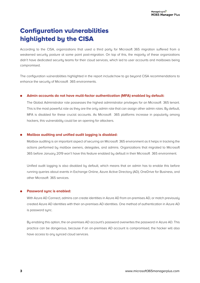# Configuration vulnerabilities highlighted by the CISA

According to the CISA, organizations that used a third party for Microsoft 365 migration suffered from a weakened security posture at some point post-migration. On top of this, the majority of these organizations didn't have dedicated security teams for their cloud services, which led to user accounts and mailboxes being compromised.

The configuration vulnerabilities highlighted in the report include:how to go beyond CISA recommendations to enhance the security of Microsoft 365 environments.

#### **Admin accounts do not have multi-factor authentication (MFA) enabled by default:**

The Global Administrator role possesses the highest administrator privileges for an Microsoft 365 tenant. This is the most powerful role as they are the only admin role that can assign other admin roles. By default, MFA is disabled for these crucial accounts. As Microsoft 365 platforms increase in popularity among hackers, this vulnerability could be an opening for attackers.

#### **Mailbox auditing and unified audit logging is disabled:**

Mailbox auditing is an important aspect of securing an Microsoft 365 environment as it helps in tracking the actions performed by mailbox owners, delegates, and admins. Organizations that migrated to Microsoft 365 before January 2019 won't have this feature enabled by default in their Microsoft 365 environment.

Unified audit logging is also disabled by default, which means that an admin has to enable this before running queries about events in Exchange Online, Azure Active Directory (AD), OneDrive for Business, and other Microsoft 365 services.

#### **Password sync is enabled:**

With Azure AD Connect, admins can create identities in Azure AD from on-premises AD, or match previously created Azure AD identities with their on-premises AD identities. One method of authentication in Azure AD is password sync.

By enabling this option, the on-premises AD account's password overwrites the password in Azure AD. This practice can be dangerous, because if an on-premises AD account is compromised, the hacker will also have access to any synced cloud services.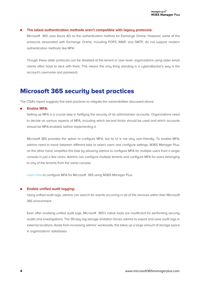#### **The latest authentication methods aren't compatible with legacy protocols:**

Microsoft 365 uses Azure AD as the authentication method for Exchange Online. However, some of the protocols associated with Exchange Online, including POP3, IMAP, and SMTP, do not support modern authentication methods like MFA.

Though these older protocols can be disabled at the tenant or user level, organizations using older email clients often have to stick with them. This means the only thing standing in a cyberattacker's way is the account's username and password.

### Microsoft 365 security best practices

The CISA's report suggests five best practices to mitigate the vulnerabilities discussed above:

#### **Enable MFA:**

Setting up MFA is a crucial step in fortifying the security of all administrator accounts. Organizations need to decide on various aspects of MFA, including which second factor should be used and which accounts should be MFA-enabled, before implementing it.

Microsoft 365 provides the option to configure MFA, but its UI is not very user-friendly. To enable MFA, admins need to move between different tabs to select users and configure settings. M365 Manager Plus, on the other hand, simplifies this task by allowing admins to configure MFA for multiple users from a single console in just a few clicks. Admins can configure multiple tenants and configure MFA for users belonging to any of the tenants from the same console.

[Learn how](https://www.manageengine.com/microsoft-365-management-reporting/kb/enable-mfa-and-sso-for-microsoft-365.html?utm_source=pdf&utm_content=mmp-dhs-ebook) to configure MFA for Microsoft 365 using M365 Manager Plus.

#### **Enable unified audit logging:**

Using unified audit logs, admins can search for events occurring in all of the services within their Microsoft 365 environment.

Even after enabling unified audit logs, Microsoft 365's native tools are insufficient for performing security audits and investigations. The 90-day log storage limitation forces admins to export and save audit logs in external locations. Aside from increasing admins' workloads, this takes up a large amount of storage space in organizations' databases.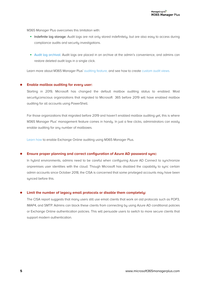M365 Manager Plus overcomes this limitation with:

- Indefinite log storage: Audit logs are not only stored indefinitely, but are also easy to access during compliance audits and security investigations.
- [Audit log archival:](https://www.manageengine.com/microsoft-365-management-reporting/microsoft-365-audit-logs-archiving.html?utm_source=pdf&utm_content=mmp-dhs-ebook) Audit logs are placed in an archive at the admin's convenience, and admins can restore deleted audit logs in a single click.

Learn more about M365 Manager Plus' [auditing feature,](https://www.manageengine.com/microsoft-365-management-reporting/microsoft-365-auditing-tool.html?utm_source=pdf&utm_content=mmp-dhs-ebook) and see how to create [custom audit views.](https://www.manageengine.com/microsoft-365-management-reporting/kb/microsoft-365-audit-report-views-tips-and-tricks.html?utm_source=pdf&utm_content=mmp-dhs-ebook)

#### **Enable mailbox auditing for every user:**

Starting in 2019, Microsoft has changed the default mailbox auditing status to enabled. Most securityconscious organizations that migrated to Microsoft 365 before 2019 will have enabled mailbox auditing for all accounts using PowerShell.

For those organizations that migrated before 2019 and haven't enabled mailbox auditing yet, this is where M365 Manager Plus' management feature comes in handy. In just a few clicks, administrators can easily enable auditing for any number of mailboxes.

[Learn how](https://www.manageengine.com/microsoft-365-management-reporting/kb/how-to-enable-exchange-online-mailbox-auditing.html?utm_source=pdf&utm_content=mmp-dhs-ebook) to enable Exchange Online auditing using M365 Manager Plus.

#### **Ensure proper planning and correct configuration of Azure AD password sync:**

In hubrid environments, admins need to be careful when configuring Azure AD Connect to sunchronize onpremises user identities with the cloud. Though Microsoft has disabled the capability to sync certain admin accounts since October 2018, the CISA is concerned that some privileged accounts may have been synced before this.

#### **Limit the number of legacy email protocols or disable them completely:**

The CISA report suggests that many users still use email clients that work on old protocols such as POP3, IMAP4, and SMTP. Admins can block these clients from connecting by using Azure AD conditional policies or Exchange Online authentication policies. This will persuade users to switch to more secure clients that support modern authentication.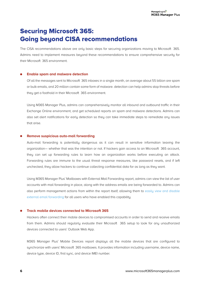## Securing Microsoft 365: Going beyond CISA recommendations

The CISA recommendations above are only basic steps for securing organizations moving to Microsoft 365. Admins need to implement measures beyond these recommendations to ensure comprehensive security for their Microsoft 365 environment.

#### **Enable spam and malware detection**

Of all the messages sent to Microsoft 365 inboxes in a single month, on average about 55 billion are spam or bulk emails, and 20 million contain some form of malware. detection can help admins stop threats before they get a foothold in their Microsoft 365 environment.

Using M365 Manager Plus, admins can comprehensively monitor all inbound and outbound traffic in their Exchange Online environment, and get scheduled reports on spam and malware detections. Admins can also set alert notifications for early detection so they can take immediate steps to remediate any issues that arise.

#### **Remove suspicious auto-mail forwarding**

Auto-mail forwarding is potentially dangerous as it can result in sensitive information leaving the organization— whether that was the intention or not. If hackers gain access to an Microsoft 365 account, they can set up forwarding rules to learn how an organization works before executing an attack. Forwarding rules are immune to the usual threat response measures, like password resets, and if left unchecked, they allow hackers to continue collecting confidential data for as long as they want.

Using M365 Manager Plus' Mailboxes with External Mail Forwarding report, admins can view the list of user accounts with mail forwarding in place, along with the address emails are being forwarded to. Admins can also perform management actions from within the report itself, allowing them to [easily view and disable](https://www.manageengine.com/microsoft-365-management-reporting/kb/disable-email-forwarding-to-external-email-address.html?utm_source=pdf&utm_content=mmp-dhs-ebook) [external email forwarding f](https://www.manageengine.com/microsoft-365-management-reporting/kb/disable-email-forwarding-to-external-email-address.html?utm_source=pdf&utm_content=mmp-dhs-ebook)or all users who have enabled this capability.

#### **Track mobile devices connected to Microsoft 365**

Hackers often connect their mobile devices to compromised accounts in order to send and receive emails from them. Admins should regularly evaluate their Microsoft 365 setup to look for any unauthorized devices connected to users' Outlook Web App.

M365 Manager Plus' Mobile Devices report displays all the mobile devices that are configured to synchronize with users' Microsoft 365 mailboxes. It provides information including username, device name, device type, device ID, first sync, and device IMEI number.